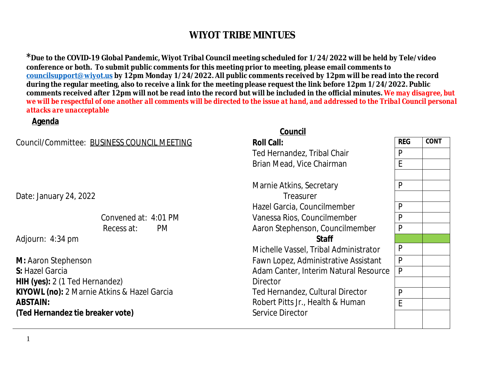<sup>\*</sup> Due to the COVID-19 Global Pandemic, Wiyot Tribal Council meeting scheduled for 1/24/2022 will be l conference or both. To submit public comments for this meeting prior to meeting, please email commen **councilsupport@wiyot.us by 12pm Monday 1/24/2022. All public comments received by 12pm will be reading** during the regular meeting, also to receive a link for the meeting please request the link before 12pm 1/ comments received after 12pm will not be read into the record but will be included in the official minut *we will be respectful of one another all comments will be directed to the issue at hand, and addressed to the Tribal Council personal council personal council personal council personal council personal de response we will attacks are unacceptable*

#### **Agenda**

 $C$ ouncil/Committee: BUSINESS COUNCIL MEE

### **Council** (1999) and the contract of the council of the council of the council of the council of the council of the council of the council of the council of the council of the council of the council of the council of the c

| Council/Committee: BUSINESS COUNCIL MEETING | <b>Roll Call:</b>                    |  |  |
|---------------------------------------------|--------------------------------------|--|--|
|                                             | Ted Hernandez, Tribal Chair          |  |  |
|                                             | Brian Mead, Vice Chairman            |  |  |
|                                             | Marnie Atkins, Secretary             |  |  |
| Date: January 24, 2022                      | Treasurer                            |  |  |
|                                             | Hazel Garcia, Councilmember          |  |  |
| Convened at: 4:01 PM                        | Vanessa Rios, Councilmember          |  |  |
| Recess at:<br>PM.                           | Aaron Stephenson, Councilmember      |  |  |
| Adjourn: 4:34 pm                            | <b>Staff</b>                         |  |  |
|                                             | Michelle Vassel, Tribal Administrate |  |  |
| M: Aaron Stephenson                         | Fawn Lopez, Administrative Assista   |  |  |
| S: Hazel Garcia                             | Adam Canter, Interim Natural Reso    |  |  |
| HIH (yes): 2 (1 Ted Hernandez)              | <b>Director</b>                      |  |  |
| KIYOWL (no): 2 Marnie Atkins & Hazel Garcia | Ted Hernandez, Cultural Director     |  |  |
| ABSTAIN:                                    | Robert Pitts Jr., Health & Human     |  |  |
| (Ted Hernandez tie breaker vote)            | <b>Service Director</b>              |  |  |
|                                             |                                      |  |  |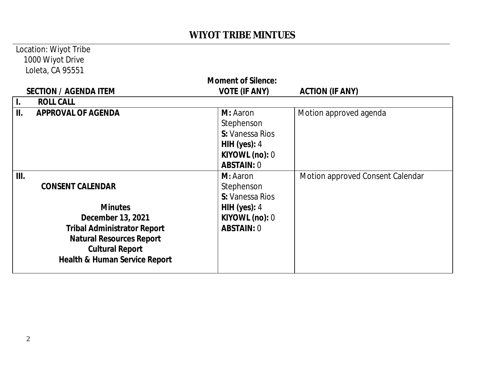### Location: Wiyot Tribe 1000 Wiyot Drive Loleta, CA 95551

| <b>Moment of Silence:</b> |                                          |                      |                                  |  |  |  |
|---------------------------|------------------------------------------|----------------------|----------------------------------|--|--|--|
|                           | <b>SECTION / AGENDA ITEM</b>             | <b>VOTE (IF ANY)</b> | <b>ACTION (IF ANY)</b>           |  |  |  |
| Ι.                        | <b>ROLL CALL</b>                         |                      |                                  |  |  |  |
| II.                       | <b>APPROVAL OF AGENDA</b>                | M: Aaron             | Motion approved agenda           |  |  |  |
|                           |                                          | Stephenson           |                                  |  |  |  |
|                           |                                          | S: Vanessa Rios      |                                  |  |  |  |
|                           |                                          | HIH (yes): $4$       |                                  |  |  |  |
|                           |                                          | KIYOWL (no): 0       |                                  |  |  |  |
|                           |                                          | <b>ABSTAIN: 0</b>    |                                  |  |  |  |
| III.                      |                                          | M: Aaron             | Motion approved Consent Calendar |  |  |  |
|                           | <b>CONSENT CALENDAR</b>                  | Stephenson           |                                  |  |  |  |
|                           |                                          | S: Vanessa Rios      |                                  |  |  |  |
|                           | <b>Minutes</b>                           | HIH (yes): $4$       |                                  |  |  |  |
|                           | December 13, 2021                        | KIYOWL (no): 0       |                                  |  |  |  |
|                           | <b>Tribal Administrator Report</b>       | <b>ABSTAIN: 0</b>    |                                  |  |  |  |
|                           | <b>Natural Resources Report</b>          |                      |                                  |  |  |  |
|                           | <b>Cultural Report</b>                   |                      |                                  |  |  |  |
|                           | <b>Health &amp; Human Service Report</b> |                      |                                  |  |  |  |
|                           |                                          |                      |                                  |  |  |  |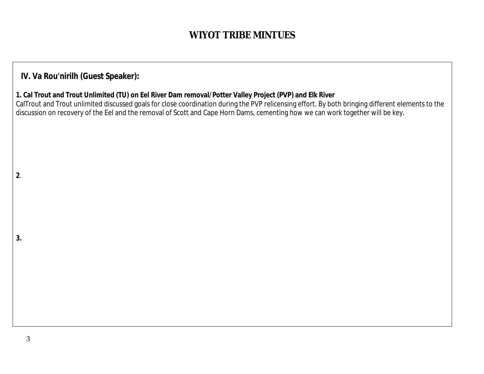### **IV. Va Rou'nirilh (Guest Speaker):**

3

**2**.

**3.**

#### **1. Cal Trout and Trout Unlimited (TU) on Eel River Dam removal/Potter Valley Project (PVP) and Elk River**

CalTrout and Trout unlimited discussed goals for close coordination during the PVP relicensing effort. By both bringing different elements to the discussion on recovery of the Eel and the removal of Scott and Cape Horn Dams, cementing how we can work together will be key.